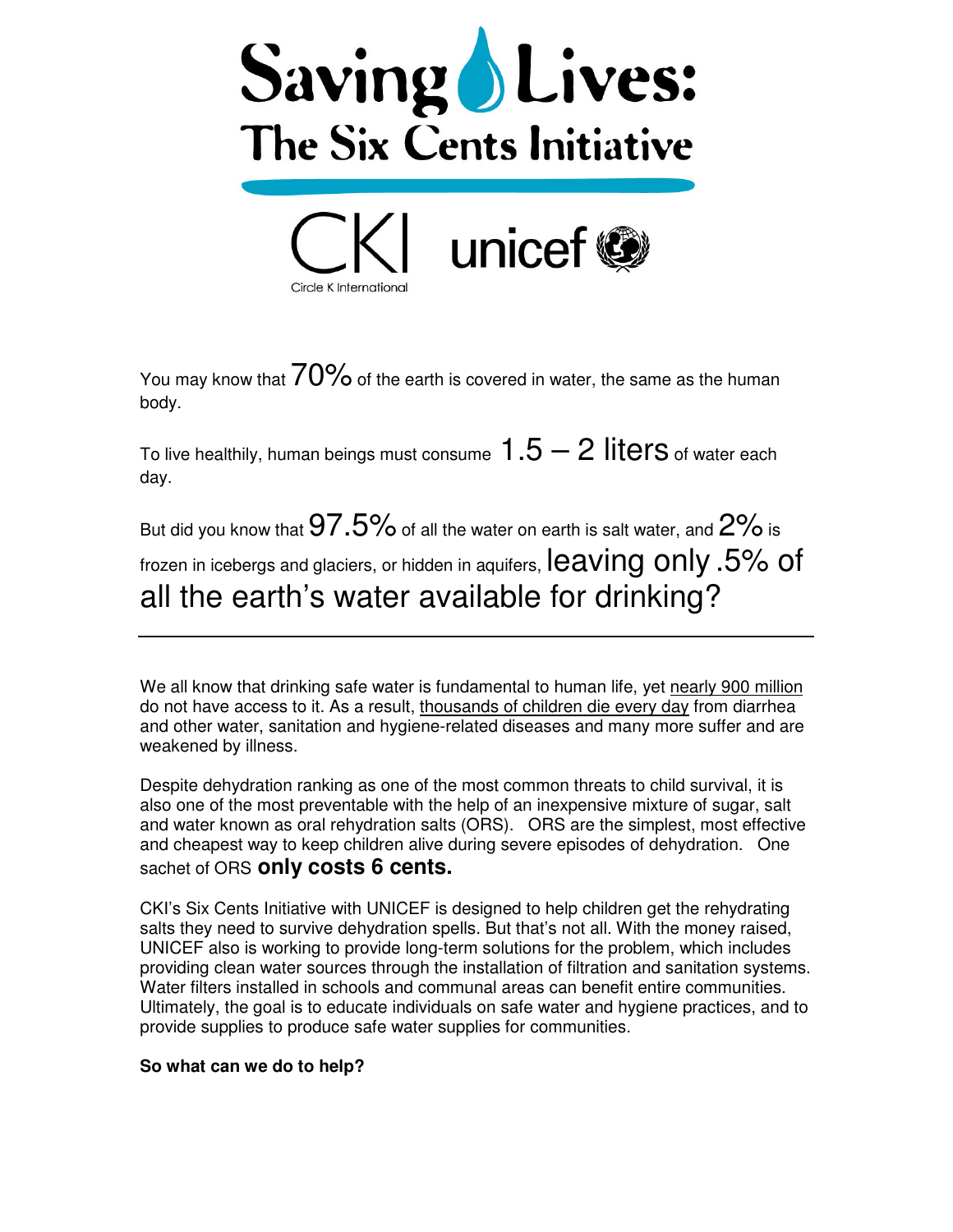



You may know that  $70\%$  of the earth is covered in water, the same as the human body.

To live healthily, human beings must consume  $1.5 - 2$  liters of water each day.

But did you know that  $97.5\%$  of all the water on earth is salt water, and  $2\%$  is frozen in icebergs and glaciers, or hidden in aquifers,  $leaving$  only .5% of all the earth's water available for drinking?

We all know that drinking safe water is fundamental to human life, yet nearly 900 million do not have access to it. As a result, thousands of children die every day from diarrhea and other water, sanitation and hygiene-related diseases and many more suffer and are weakened by illness.

Despite dehydration ranking as one of the most common threats to child survival, it is also one of the most preventable with the help of an inexpensive mixture of sugar, salt and water known as oral rehydration salts (ORS). ORS are the simplest, most effective and cheapest way to keep children alive during severe episodes of dehydration. One sachet of ORS **only costs 6 cents.**

CKI's Six Cents Initiative with UNICEF is designed to help children get the rehydrating salts they need to survive dehydration spells. But that's not all. With the money raised, UNICEF also is working to provide long-term solutions for the problem, which includes providing clean water sources through the installation of filtration and sanitation systems. Water filters installed in schools and communal areas can benefit entire communities. Ultimately, the goal is to educate individuals on safe water and hygiene practices, and to provide supplies to produce safe water supplies for communities.

## **So what can we do to help?**